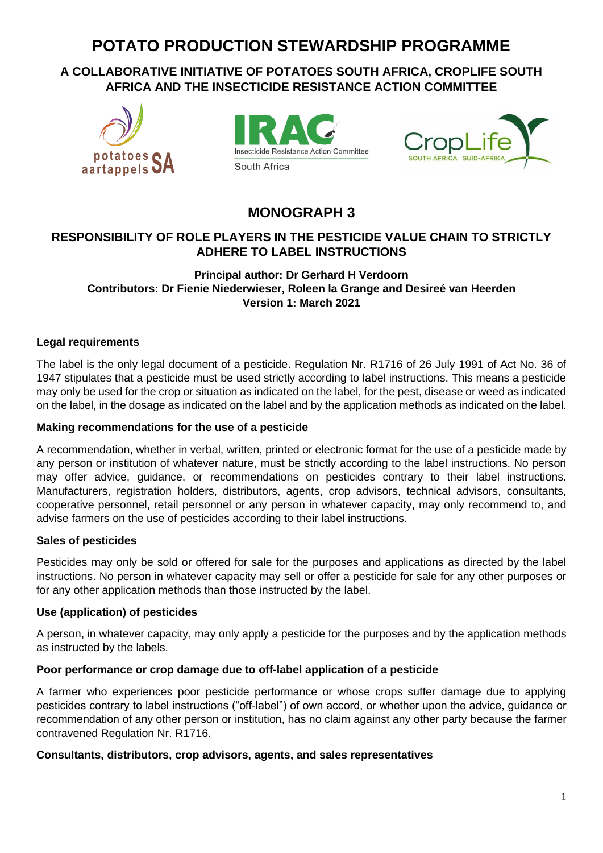# **POTATO PRODUCTION STEWARDSHIP PROGRAMME**

## **A COLLABORATIVE INITIATIVE OF POTATOES SOUTH AFRICA, CROPLIFE SOUTH AFRICA AND THE INSECTICIDE RESISTANCE ACTION COMMITTEE**







## **MONOGRAPH 3**

### **RESPONSIBILITY OF ROLE PLAYERS IN THE PESTICIDE VALUE CHAIN TO STRICTLY ADHERE TO LABEL INSTRUCTIONS**

**Principal author: Dr Gerhard H Verdoorn Contributors: Dr Fienie Niederwieser, Roleen la Grange and Desireé van Heerden Version 1: March 2021**

#### **Legal requirements**

The label is the only legal document of a pesticide. Regulation Nr. R1716 of 26 July 1991 of Act No. 36 of 1947 stipulates that a pesticide must be used strictly according to label instructions. This means a pesticide may only be used for the crop or situation as indicated on the label, for the pest, disease or weed as indicated on the label, in the dosage as indicated on the label and by the application methods as indicated on the label.

#### **Making recommendations for the use of a pesticide**

A recommendation, whether in verbal, written, printed or electronic format for the use of a pesticide made by any person or institution of whatever nature, must be strictly according to the label instructions. No person may offer advice, guidance, or recommendations on pesticides contrary to their label instructions. Manufacturers, registration holders, distributors, agents, crop advisors, technical advisors, consultants, cooperative personnel, retail personnel or any person in whatever capacity, may only recommend to, and advise farmers on the use of pesticides according to their label instructions.

#### **Sales of pesticides**

Pesticides may only be sold or offered for sale for the purposes and applications as directed by the label instructions. No person in whatever capacity may sell or offer a pesticide for sale for any other purposes or for any other application methods than those instructed by the label.

#### **Use (application) of pesticides**

A person, in whatever capacity, may only apply a pesticide for the purposes and by the application methods as instructed by the labels.

#### **Poor performance or crop damage due to off-label application of a pesticide**

A farmer who experiences poor pesticide performance or whose crops suffer damage due to applying pesticides contrary to label instructions ("off-label") of own accord, or whether upon the advice, guidance or recommendation of any other person or institution, has no claim against any other party because the farmer contravened Regulation Nr. R1716.

#### **Consultants, distributors, crop advisors, agents, and sales representatives**